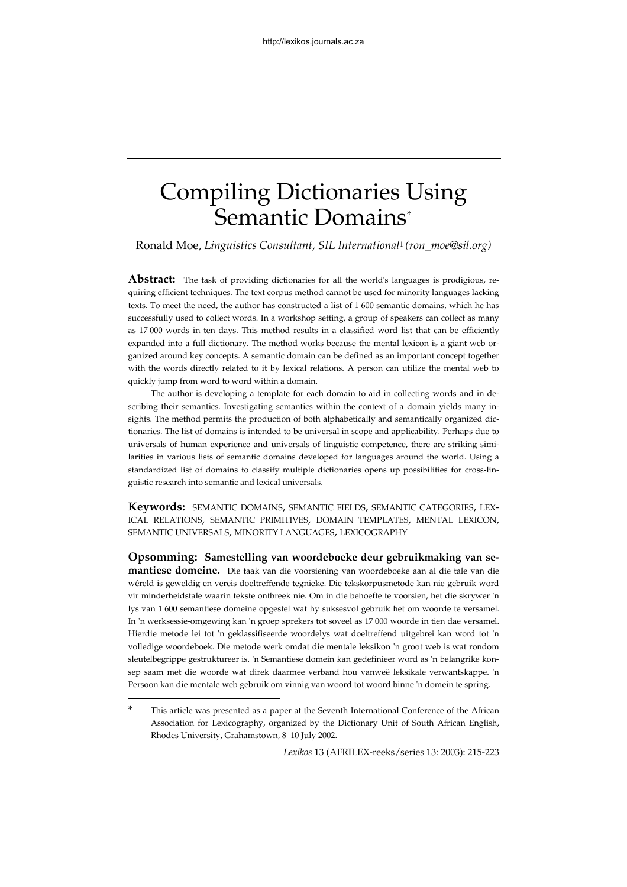# Compiling Dictionaries Using Semantic Domain[s\\*](#page-0-0)

Ronald Moe, *Linguistics Consultant, SIL International*<sup>1</sup> *(ron\_moe@sil.org)*

**Abstract:** The task of providing dictionaries for all the world's languages is prodigious, requiring efficient techniques. The text corpus method cannot be used for minority languages lacking texts. To meet the need, the author has constructed a list of 1 600 semantic domains, which he has successfully used to collect words. In a workshop setting, a group of speakers can collect as many as 17 000 words in ten days. This method results in a classified word list that can be efficiently expanded into a full dictionary. The method works because the mental lexicon is a giant web organized around key concepts. A semantic domain can be defined as an important concept together with the words directly related to it by lexical relations. A person can utilize the mental web to quickly jump from word to word within a domain.

The author is developing a template for each domain to aid in collecting words and in describing their semantics. Investigating semantics within the context of a domain yields many insights. The method permits the production of both alphabetically and semantically organized dictionaries. The list of domains is intended to be universal in scope and applicability. Perhaps due to universals of human experience and universals of linguistic competence, there are striking similarities in various lists of semantic domains developed for languages around the world. Using a standardized list of domains to classify multiple dictionaries opens up possibilities for cross-linguistic research into semantic and lexical universals.

**Keywords:** SEMANTIC DOMAINS, SEMANTIC FIELDS, SEMANTIC CATEGORIES, LEX-ICAL RELATIONS, SEMANTIC PRIMITIVES, DOMAIN TEMPLATES, MENTAL LEXICON, SEMANTIC UNIVERSALS, MINORITY LANGUAGES, LEXICOGRAPHY

**Opsomming: Samestelling van woordeboeke deur gebruikmaking van semantiese domeine.** Die taak van die voorsiening van woordeboeke aan al die tale van die wêreld is geweldig en vereis doeltreffende tegnieke. Die tekskorpusmetode kan nie gebruik word vir minderheidstale waarin tekste ontbreek nie. Om in die behoefte te voorsien, het die skrywer 'n lys van 1 600 semantiese domeine opgestel wat hy suksesvol gebruik het om woorde te versamel. In 'n werksessie-omgewing kan 'n groep sprekers tot soveel as 17 000 woorde in tien dae versamel. Hierdie metode lei tot 'n geklassifiseerde woordelys wat doeltreffend uitgebrei kan word tot 'n volledige woordeboek. Die metode werk omdat die mentale leksikon 'n groot web is wat rondom sleutelbegrippe gestruktureer is. 'n Semantiese domein kan gedefinieer word as 'n belangrike konsep saam met die woorde wat direk daarmee verband hou vanweë leksikale verwantskappe. 'n Persoon kan die mentale web gebruik om vinnig van woord tot woord binne 'n domein te spring.

l

*Lexikos* 13 (AFRILEX-reeks/series 13: 2003): 215-223

<span id="page-0-0"></span>This article was presented as a paper at the Seventh International Conference of the African Association for Lexicography, organized by the Dictionary Unit of South African English, Rhodes University, Grahamstown, 8–10 July 2002.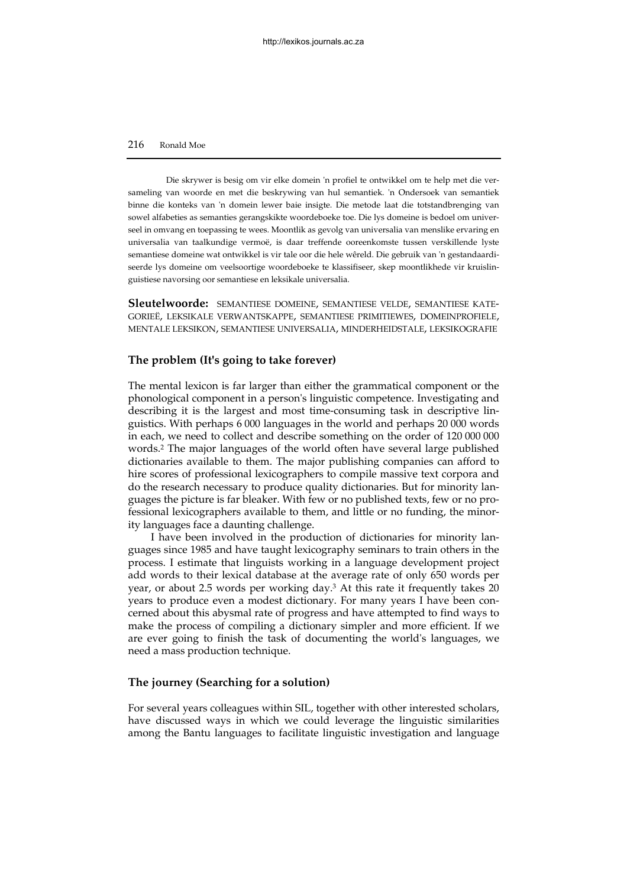Die skrywer is besig om vir elke domein 'n profiel te ontwikkel om te help met die versameling van woorde en met die beskrywing van hul semantiek. 'n Ondersoek van semantiek binne die konteks van 'n domein lewer baie insigte. Die metode laat die totstandbrenging van sowel alfabeties as semanties gerangskikte woordeboeke toe. Die lys domeine is bedoel om universeel in omvang en toepassing te wees. Moontlik as gevolg van universalia van menslike ervaring en universalia van taalkundige vermoë, is daar treffende ooreenkomste tussen verskillende lyste semantiese domeine wat ontwikkel is vir tale oor die hele wêreld. Die gebruik van 'n gestandaardiseerde lys domeine om veelsoortige woordeboeke te klassifiseer, skep moontlikhede vir kruislinguistiese navorsing oor semantiese en leksikale universalia.

**Sleutelwoorde:** SEMANTIESE DOMEINE, SEMANTIESE VELDE, SEMANTIESE KATE-GORIEË, LEKSIKALE VERWANTSKAPPE, SEMANTIESE PRIMITIEWES, DOMEINPROFIELE, MENTALE LEKSIKON, SEMANTIESE UNIVERSALIA, MINDERHEIDSTALE, LEKSIKOGRAFIE

#### **The problem (It's going to take forever)**

The mental lexicon is far larger than either the grammatical component or the phonological component in a person's linguistic competence. Investigating and describing it is the largest and most time-consuming task in descriptive linguistics. With perhaps 6 000 languages in the world and perhaps 20 000 words in each, we need to collect and describe something on the order of 120 000 000 words.2 The major languages of the world often have several large published dictionaries available to them. The major publishing companies can afford to hire scores of professional lexicographers to compile massive text corpora and do the research necessary to produce quality dictionaries. But for minority languages the picture is far bleaker. With few or no published texts, few or no professional lexicographers available to them, and little or no funding, the minority languages face a daunting challenge.

I have been involved in the production of dictionaries for minority languages since 1985 and have taught lexicography seminars to train others in the process. I estimate that linguists working in a language development project add words to their lexical database at the average rate of only 650 words per year, or about 2.5 words per working day.3 At this rate it frequently takes 20 years to produce even a modest dictionary. For many years I have been concerned about this abysmal rate of progress and have attempted to find ways to make the process of compiling a dictionary simpler and more efficient. If we are ever going to finish the task of documenting the world's languages, we need a mass production technique.

#### **The journey (Searching for a solution)**

For several years colleagues within SIL, together with other interested scholars, have discussed ways in which we could leverage the linguistic similarities among the Bantu languages to facilitate linguistic investigation and language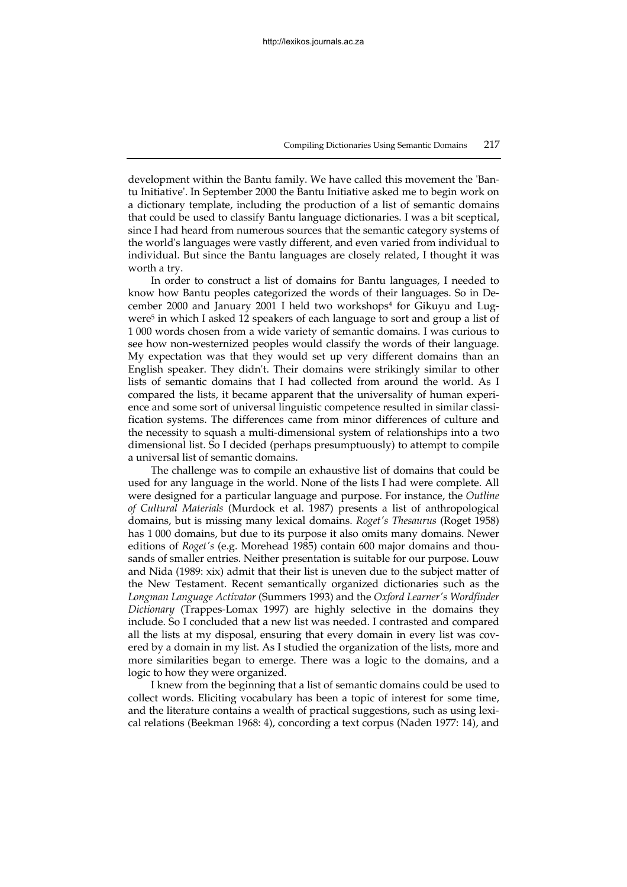development within the Bantu family. We have called this movement the 'Bantu Initiative'. In September 2000 the Bantu Initiative asked me to begin work on a dictionary template, including the production of a list of semantic domains that could be used to classify Bantu language dictionaries. I was a bit sceptical, since I had heard from numerous sources that the semantic category systems of the world's languages were vastly different, and even varied from individual to individual. But since the Bantu languages are closely related, I thought it was worth a try.

In order to construct a list of domains for Bantu languages, I needed to know how Bantu peoples categorized the words of their languages. So in December 2000 and January 2001 I held two workshops<sup>4</sup> for Gikuyu and Lugwere<sup>5</sup> in which I asked 12 speakers of each language to sort and group a list of 1 000 words chosen from a wide variety of semantic domains. I was curious to see how non-westernized peoples would classify the words of their language. My expectation was that they would set up very different domains than an English speaker. They didn't. Their domains were strikingly similar to other lists of semantic domains that I had collected from around the world. As I compared the lists, it became apparent that the universality of human experience and some sort of universal linguistic competence resulted in similar classification systems. The differences came from minor differences of culture and the necessity to squash a multi-dimensional system of relationships into a two dimensional list. So I decided (perhaps presumptuously) to attempt to compile a universal list of semantic domains.

The challenge was to compile an exhaustive list of domains that could be used for any language in the world. None of the lists I had were complete. All were designed for a particular language and purpose. For instance, the *Outline of Cultural Materials* (Murdock et al. 1987) presents a list of anthropological domains, but is missing many lexical domains. *Roget's Thesaurus* (Roget 1958) has 1 000 domains, but due to its purpose it also omits many domains. Newer editions of *Roget's* (e.g. Morehead 1985) contain 600 major domains and thousands of smaller entries. Neither presentation is suitable for our purpose. Louw and Nida (1989: xix) admit that their list is uneven due to the subject matter of the New Testament. Recent semantically organized dictionaries such as the *Longman Language Activator* (Summers 1993) and the *Oxford Learner's Wordfinder Dictionary* (Trappes-Lomax 1997) are highly selective in the domains they include. So I concluded that a new list was needed. I contrasted and compared all the lists at my disposal, ensuring that every domain in every list was covered by a domain in my list. As I studied the organization of the lists, more and more similarities began to emerge. There was a logic to the domains, and a logic to how they were organized.

I knew from the beginning that a list of semantic domains could be used to collect words. Eliciting vocabulary has been a topic of interest for some time, and the literature contains a wealth of practical suggestions, such as using lexical relations (Beekman 1968: 4), concording a text corpus (Naden 1977: 14), and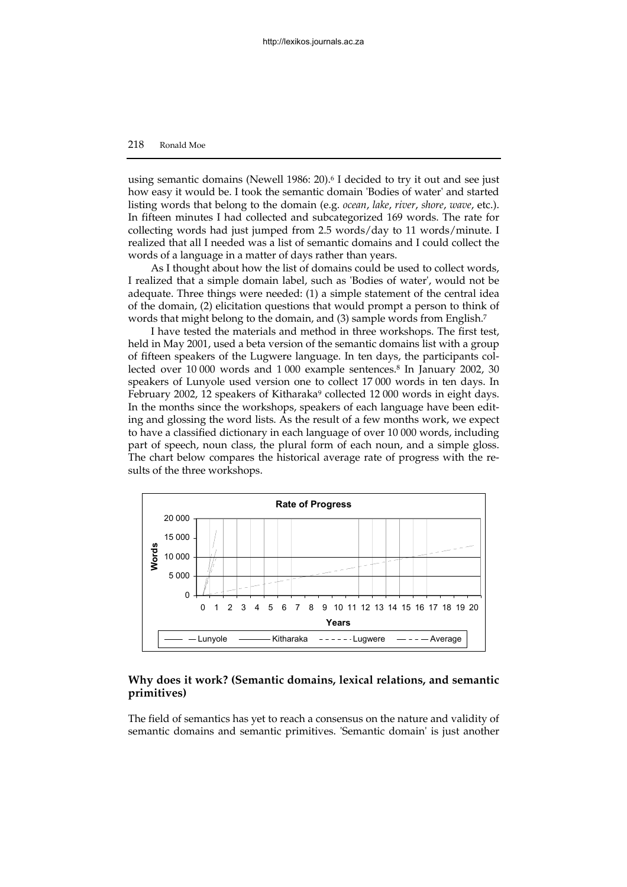using semantic domains (Newell 1986: 20).6 I decided to try it out and see just how easy it would be. I took the semantic domain 'Bodies of water' and started listing words that belong to the domain (e.g. *ocean*, *lake*, *river*, *shore*, *wave*, etc.). In fifteen minutes I had collected and subcategorized 169 words. The rate for collecting words had just jumped from 2.5 words/day to 11 words/minute. I realized that all I needed was a list of semantic domains and I could collect the words of a language in a matter of days rather than years.

As I thought about how the list of domains could be used to collect words, I realized that a simple domain label, such as 'Bodies of water', would not be adequate. Three things were needed: (1) a simple statement of the central idea of the domain, (2) elicitation questions that would prompt a person to think of words that might belong to the domain, and (3) sample words from English.7

I have tested the materials and method in three workshops. The first test, held in May 2001, used a beta version of the semantic domains list with a group of fifteen speakers of the Lugwere language. In ten days, the participants collected over 10 000 words and 1 000 example sentences.<sup>8</sup> In January 2002, 30 speakers of Lunyole used version one to collect 17 000 words in ten days. In February 2002, 12 speakers of Kitharaka<sup>9</sup> collected 12 000 words in eight days. In the months since the workshops, speakers of each language have been editing and glossing the word lists. As the result of a few months work, we expect to have a classified dictionary in each language of over 10 000 words, including part of speech, noun class, the plural form of each noun, and a simple gloss. The chart below compares the historical average rate of progress with the results of the three workshops.



# **Why does it work? (Semantic domains, lexical relations, and semantic primitives)**

The field of semantics has yet to reach a consensus on the nature and validity of semantic domains and semantic primitives. 'Semantic domain' is just another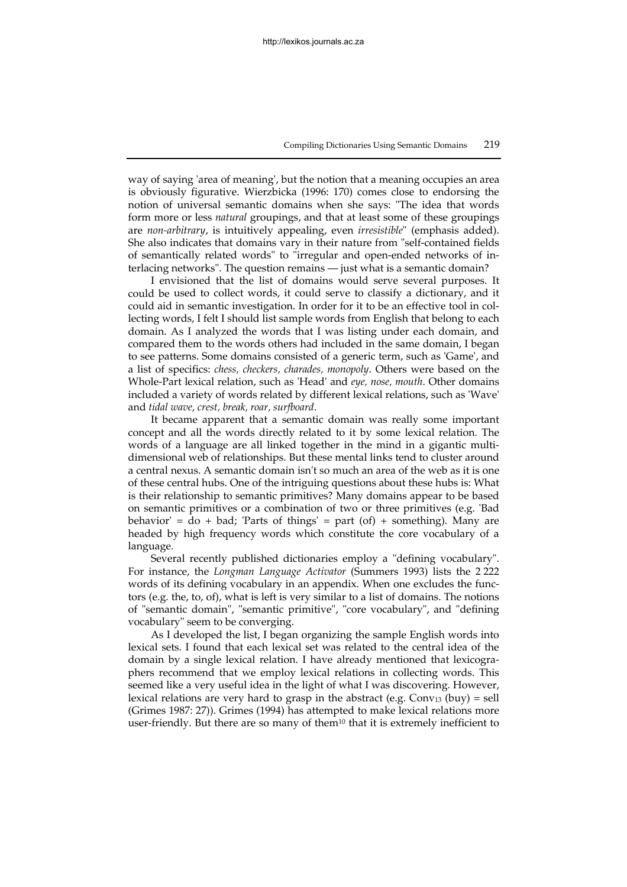way of saying 'area of meaning', but the notion that a meaning occupies an area is obviously figurative. Wierzbicka (1996: 170) comes close to endorsing the notion of universal semantic domains when she says: "The idea that words form more or less *natural* groupings, and that at least some of these groupings are *non-arbitrary*, is intuitively appealing, even *irresistible*" (emphasis added). She also indicates that domains vary in their nature from "self-contained fields of semantically related words" to "irregular and open-ended networks of interlacing networks". The question remains — just what is a semantic domain?

I envisioned that the list of domains would serve several purposes. It could be used to collect words, it could serve to classify a dictionary, and it could aid in semantic investigation. In order for it to be an effective tool in collecting words, I felt I should list sample words from English that belong to each domain. As I analyzed the words that I was listing under each domain, and compared them to the words others had included in the same domain, I began to see patterns. Some domains consisted of a generic term, such as 'Game', and a list of specifics: *chess, checkers, charades, monopoly*. Others were based on the Whole-Part lexical relation, such as 'Head' and *eye, nose, mouth*. Other domains included a variety of words related by different lexical relations, such as 'Wave' and *tidal wave, crest, break, roar, surfboard*.

It became apparent that a semantic domain was really some important concept and all the words directly related to it by some lexical relation. The words of a language are all linked together in the mind in a gigantic multidimensional web of relationships. But these mental links tend to cluster around a central nexus. A semantic domain isn't so much an area of the web as it is one of these central hubs. One of the intriguing questions about these hubs is: What is their relationship to semantic primitives? Many domains appear to be based on semantic primitives or a combination of two or three primitives (e.g. 'Bad behavior' =  $do + bad$ ; 'Parts of things' = part (of) + something). Many are headed by high frequency words which constitute the core vocabulary of a language.

Several recently published dictionaries employ a "defining vocabulary". For instance, the *Longman Language Activator* (Summers 1993) lists the 2 222 words of its defining vocabulary in an appendix. When one excludes the functors (e.g. the, to, of), what is left is very similar to a list of domains. The notions of "semantic domain", "semantic primitive", "core vocabulary", and "defining vocabulary" seem to be converging.

As I developed the list, I began organizing the sample English words into lexical sets. I found that each lexical set was related to the central idea of the domain by a single lexical relation. I have already mentioned that lexicographers recommend that we employ lexical relations in collecting words. This seemed like a very useful idea in the light of what I was discovering. However, lexical relations are very hard to grasp in the abstract (e.g.  $Conv_{13}$  (buy) = sell (Grimes 1987: 27)). Grimes (1994) has attempted to make lexical relations more user-friendly. But there are so many of them<sup>10</sup> that it is extremely inefficient to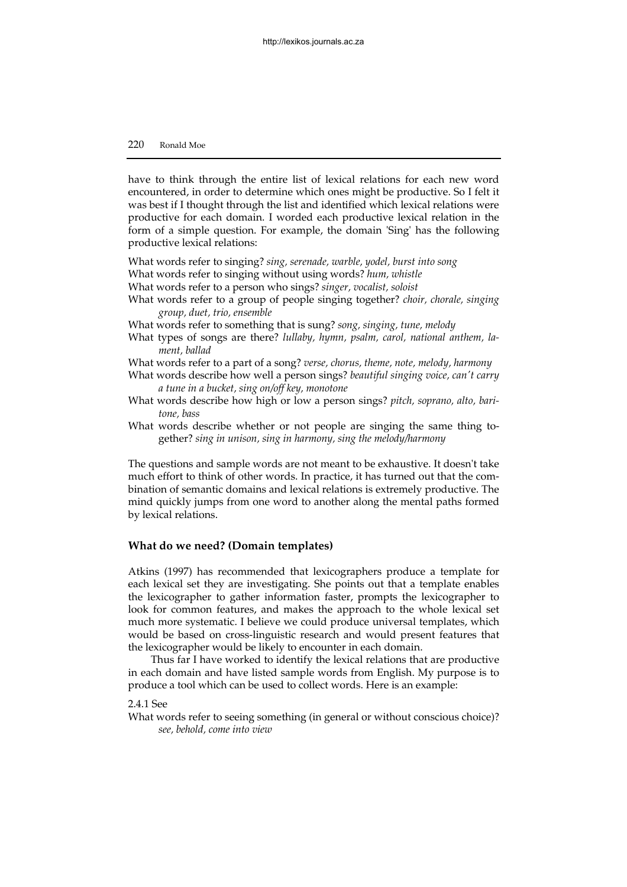have to think through the entire list of lexical relations for each new word encountered, in order to determine which ones might be productive. So I felt it was best if I thought through the list and identified which lexical relations were productive for each domain. I worded each productive lexical relation in the form of a simple question. For example, the domain 'Sing' has the following productive lexical relations:

What words refer to singing? *sing, serenade, warble, yodel, burst into song* What words refer to singing without using words? *hum, whistle*

- What words refer to a person who sings? *singer, vocalist, soloist*
- What words refer to a group of people singing together? *choir, chorale, singing group, duet, trio, ensemble*
- What words refer to something that is sung? *song, singing, tune, melody*
- What types of songs are there? *lullaby, hymn, psalm, carol, national anthem, lament, ballad*

What words refer to a part of a song? *verse, chorus, theme, note, melody, harmony*

- What words describe how well a person sings? *beautiful singing voice, can't carry a tune in a bucket, sing on/off key, monotone*
- What words describe how high or low a person sings? *pitch, soprano, alto, baritone, bass*
- What words describe whether or not people are singing the same thing together? *sing in unison, sing in harmony, sing the melody/harmony*

The questions and sample words are not meant to be exhaustive. It doesn't take much effort to think of other words. In practice, it has turned out that the combination of semantic domains and lexical relations is extremely productive. The mind quickly jumps from one word to another along the mental paths formed by lexical relations.

#### **What do we need? (Domain templates)**

Atkins (1997) has recommended that lexicographers produce a template for each lexical set they are investigating. She points out that a template enables the lexicographer to gather information faster, prompts the lexicographer to look for common features, and makes the approach to the whole lexical set much more systematic. I believe we could produce universal templates, which would be based on cross-linguistic research and would present features that the lexicographer would be likely to encounter in each domain.

Thus far I have worked to identify the lexical relations that are productive in each domain and have listed sample words from English. My purpose is to produce a tool which can be used to collect words. Here is an example:

## 2.4.1 See

What words refer to seeing something (in general or without conscious choice)? *see, behold, come into view*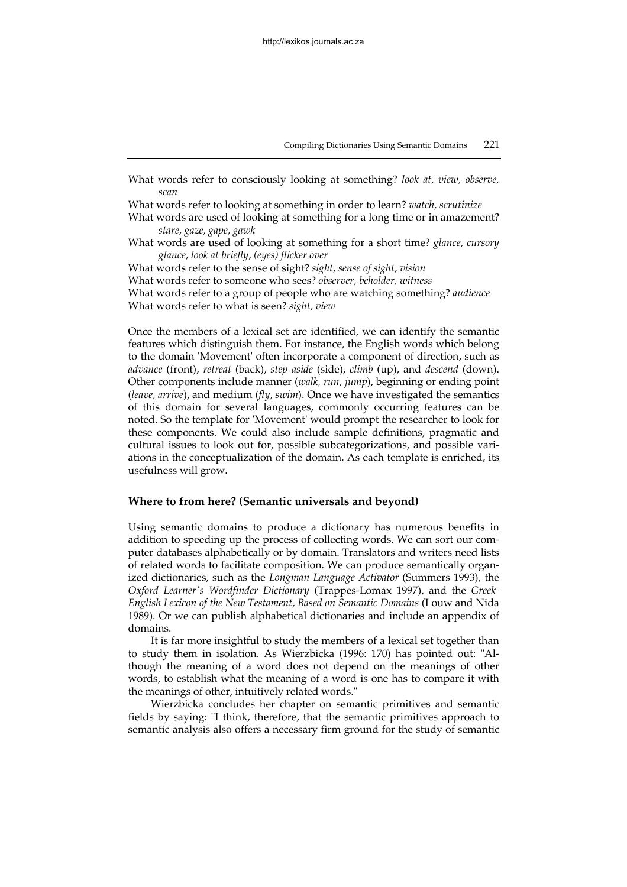What words refer to consciously looking at something? *look at, view, observe, scan* 

What words refer to looking at something in order to learn? *watch, scrutinize*

- What words are used of looking at something for a long time or in amazement? *stare, gaze, gape, gawk*
- What words are used of looking at something for a short time? *glance, cursory glance, look at briefly, (eyes) flicker over*

What words refer to the sense of sight? *sight, sense of sight, vision* What words refer to someone who sees? *observer, beholder, witness* What words refer to a group of people who are watching something? *audience* What words refer to what is seen? *sight, view* 

Once the members of a lexical set are identified, we can identify the semantic features which distinguish them. For instance, the English words which belong to the domain 'Movement' often incorporate a component of direction, such as *advance* (front), *retreat* (back), *step aside* (side), *climb* (up), and *descend* (down). Other components include manner (*walk, run, jump*), beginning or ending point (*leave, arrive*), and medium (*fly, swim*). Once we have investigated the semantics of this domain for several languages, commonly occurring features can be noted. So the template for 'Movement' would prompt the researcher to look for these components. We could also include sample definitions, pragmatic and cultural issues to look out for, possible subcategorizations, and possible variations in the conceptualization of the domain. As each template is enriched, its usefulness will grow.

#### **Where to from here? (Semantic universals and beyond)**

Using semantic domains to produce a dictionary has numerous benefits in addition to speeding up the process of collecting words. We can sort our computer databases alphabetically or by domain. Translators and writers need lists of related words to facilitate composition. We can produce semantically organized dictionaries, such as the *Longman Language Activator* (Summers 1993), the *Oxford Learner's Wordfinder Dictionary* (Trappes-Lomax 1997), and the *Greek-English Lexicon of the New Testament, Based on Semantic Domains* (Louw and Nida 1989). Or we can publish alphabetical dictionaries and include an appendix of domains.

It is far more insightful to study the members of a lexical set together than to study them in isolation. As Wierzbicka (1996: 170) has pointed out: "Although the meaning of a word does not depend on the meanings of other words, to establish what the meaning of a word is one has to compare it with the meanings of other, intuitively related words."

Wierzbicka concludes her chapter on semantic primitives and semantic fields by saying: "I think, therefore, that the semantic primitives approach to semantic analysis also offers a necessary firm ground for the study of semantic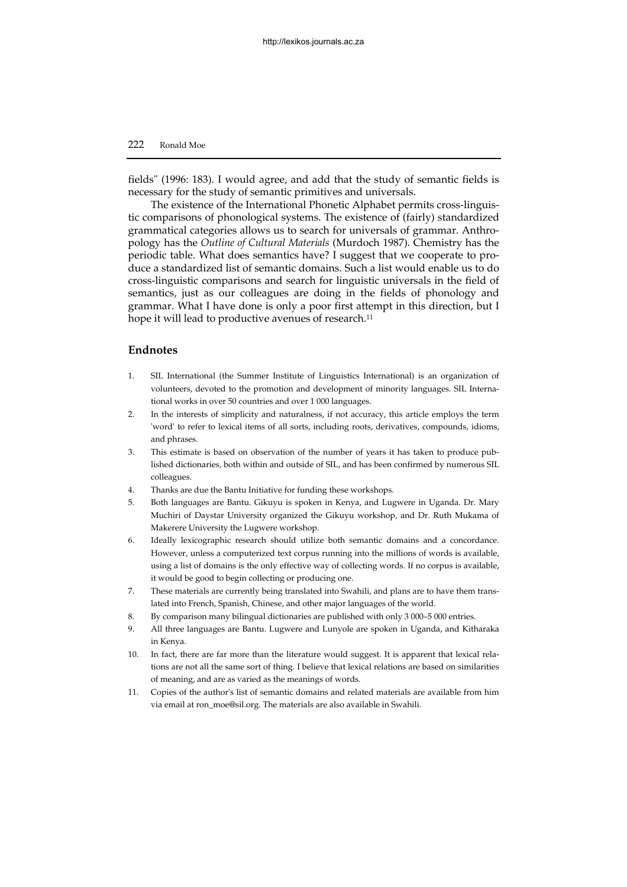fields" (1996: 183). I would agree, and add that the study of semantic fields is necessary for the study of semantic primitives and universals.

The existence of the International Phonetic Alphabet permits cross-linguistic comparisons of phonological systems. The existence of (fairly) standardized grammatical categories allows us to search for universals of grammar. Anthropology has the *Outline of Cultural Materials* (Murdoch 1987). Chemistry has the periodic table. What does semantics have? I suggest that we cooperate to produce a standardized list of semantic domains. Such a list would enable us to do cross-linguistic comparisons and search for linguistic universals in the field of semantics, just as our colleagues are doing in the fields of phonology and grammar. What I have done is only a poor first attempt in this direction, but I hope it will lead to productive avenues of research.<sup>11</sup>

# **Endnotes**

- 1. SIL International (the Summer Institute of Linguistics International) is an organization of volunteers, devoted to the promotion and development of minority languages. SIL International works in over 50 countries and over 1 000 languages.
- 2. In the interests of simplicity and naturalness, if not accuracy, this article employs the term 'word' to refer to lexical items of all sorts, including roots, derivatives, compounds, idioms, and phrases.
- 3. This estimate is based on observation of the number of years it has taken to produce published dictionaries, both within and outside of SIL, and has been confirmed by numerous SIL colleagues.
- 4. Thanks are due the Bantu Initiative for funding these workshops.
- 5. Both languages are Bantu. Gikuyu is spoken in Kenya, and Lugwere in Uganda. Dr. Mary Muchiri of Daystar University organized the Gikuyu workshop, and Dr. Ruth Mukama of Makerere University the Lugwere workshop.
- 6. Ideally lexicographic research should utilize both semantic domains and a concordance. However, unless a computerized text corpus running into the millions of words is available, using a list of domains is the only effective way of collecting words. If no corpus is available, it would be good to begin collecting or producing one.
- 7. These materials are currently being translated into Swahili, and plans are to have them translated into French, Spanish, Chinese, and other major languages of the world.
- 8. By comparison many bilingual dictionaries are published with only 3 000–5 000 entries.
- 9. All three languages are Bantu. Lugwere and Lunyole are spoken in Uganda, and Kitharaka in Kenya.
- 10. In fact, there are far more than the literature would suggest. It is apparent that lexical relations are not all the same sort of thing. I believe that lexical relations are based on similarities of meaning, and are as varied as the meanings of words.
- 11. Copies of the author's list of semantic domains and related materials are available from him via email at ron\_moe@sil.org. The materials are also available in Swahili.